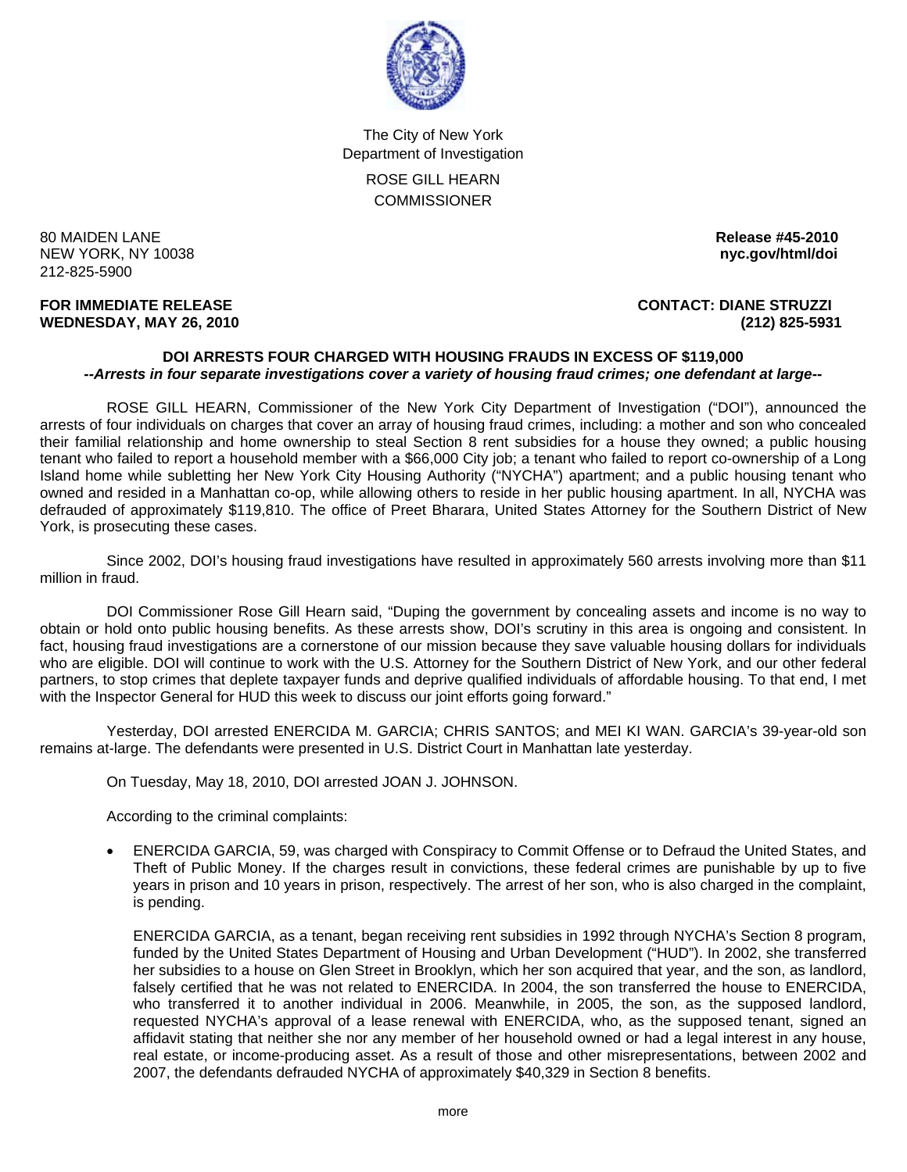

The City of New York Department of Investigation ROSE GILL HEARN **COMMISSIONER** 

80 MAIDEN LANE **Release #45-2010 NEW YORK, NY 10038** 212-825-5900

**FOR IMMEDIATE RELEASE CONTACT: DIANE STRUZZI WEDNESDAY, MAY 26, 2010 (212) 825-5931**

## **DOI ARRESTS FOUR CHARGED WITH HOUSING FRAUDS IN EXCESS OF \$119,000**  *--Arrests in four separate investigations cover a variety of housing fraud crimes; one defendant at large--*

 ROSE GILL HEARN, Commissioner of the New York City Department of Investigation ("DOI"), announced the arrests of four individuals on charges that cover an array of housing fraud crimes, including: a mother and son who concealed their familial relationship and home ownership to steal Section 8 rent subsidies for a house they owned; a public housing tenant who failed to report a household member with a \$66,000 City job; a tenant who failed to report co-ownership of a Long Island home while subletting her New York City Housing Authority ("NYCHA") apartment; and a public housing tenant who owned and resided in a Manhattan co-op, while allowing others to reside in her public housing apartment. In all, NYCHA was defrauded of approximately \$119,810. The office of Preet Bharara, United States Attorney for the Southern District of New York, is prosecuting these cases.

 Since 2002, DOI's housing fraud investigations have resulted in approximately 560 arrests involving more than \$11 million in fraud.

 DOI Commissioner Rose Gill Hearn said, "Duping the government by concealing assets and income is no way to obtain or hold onto public housing benefits. As these arrests show, DOI's scrutiny in this area is ongoing and consistent. In fact, housing fraud investigations are a cornerstone of our mission because they save valuable housing dollars for individuals who are eligible. DOI will continue to work with the U.S. Attorney for the Southern District of New York, and our other federal partners, to stop crimes that deplete taxpayer funds and deprive qualified individuals of affordable housing. To that end, I met with the Inspector General for HUD this week to discuss our joint efforts going forward."

 Yesterday, DOI arrested ENERCIDA M. GARCIA; CHRIS SANTOS; and MEI KI WAN. GARCIA's 39-year-old son remains at-large. The defendants were presented in U.S. District Court in Manhattan late yesterday.

On Tuesday, May 18, 2010, DOI arrested JOAN J. JOHNSON.

According to the criminal complaints:

• ENERCIDA GARCIA, 59, was charged with Conspiracy to Commit Offense or to Defraud the United States, and Theft of Public Money. If the charges result in convictions, these federal crimes are punishable by up to five years in prison and 10 years in prison, respectively. The arrest of her son, who is also charged in the complaint, is pending.

 ENERCIDA GARCIA, as a tenant, began receiving rent subsidies in 1992 through NYCHA's Section 8 program, funded by the United States Department of Housing and Urban Development ("HUD"). In 2002, she transferred her subsidies to a house on Glen Street in Brooklyn, which her son acquired that year, and the son, as landlord, falsely certified that he was not related to ENERCIDA. In 2004, the son transferred the house to ENERCIDA, who transferred it to another individual in 2006. Meanwhile, in 2005, the son, as the supposed landlord, requested NYCHA's approval of a lease renewal with ENERCIDA, who, as the supposed tenant, signed an affidavit stating that neither she nor any member of her household owned or had a legal interest in any house, real estate, or income-producing asset. As a result of those and other misrepresentations, between 2002 and 2007, the defendants defrauded NYCHA of approximately \$40,329 in Section 8 benefits.